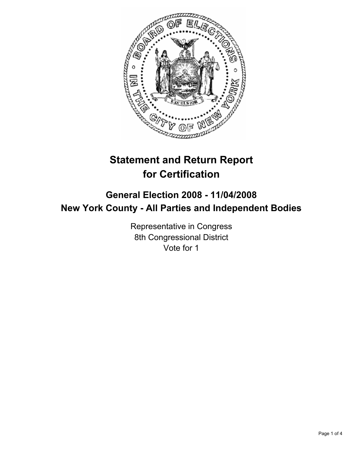

# **Statement and Return Report for Certification**

## **General Election 2008 - 11/04/2008 New York County - All Parties and Independent Bodies**

Representative in Congress 8th Congressional District Vote for 1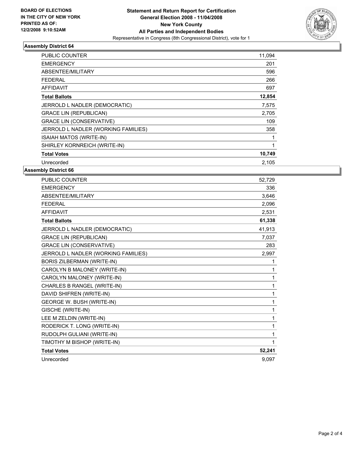

### **Assembly District 64**

| PUBLIC COUNTER                      | 11,094 |
|-------------------------------------|--------|
| <b>EMERGENCY</b>                    | 201    |
| ABSENTEE/MILITARY                   | 596    |
| <b>FEDERAL</b>                      | 266    |
| AFFIDAVIT                           | 697    |
| <b>Total Ballots</b>                | 12,854 |
| JERROLD L NADLER (DEMOCRATIC)       | 7,575  |
| <b>GRACE LIN (REPUBLICAN)</b>       | 2,705  |
| <b>GRACE LIN (CONSERVATIVE)</b>     | 109    |
| JERROLD L NADLER (WORKING FAMILIES) | 358    |
| ISAIAH MATOS (WRITE-IN)             |        |
| SHIRLEY KORNREICH (WRITE-IN)        |        |
| <b>Total Votes</b>                  | 10,749 |
| Unrecorded                          | 2,105  |

**Assembly District 66**

| PUBLIC COUNTER                      | 52,729 |
|-------------------------------------|--------|
| <b>EMERGENCY</b>                    | 336    |
| <b>ABSENTEE/MILITARY</b>            | 3.646  |
| <b>FEDERAL</b>                      | 2,096  |
| <b>AFFIDAVIT</b>                    | 2,531  |
| <b>Total Ballots</b>                | 61,338 |
| JERROLD L NADLER (DEMOCRATIC)       | 41,913 |
| <b>GRACE LIN (REPUBLICAN)</b>       | 7,037  |
| <b>GRACE LIN (CONSERVATIVE)</b>     | 283    |
| JERROLD L NADLER (WORKING FAMILIES) | 2,997  |
| BORIS ZILBERMAN (WRITE-IN)          | 1      |
| CAROLYN B MALONEY (WRITE-IN)        |        |
| CAROLYN MALONEY (WRITE-IN)          | 1      |
| CHARLES B RANGEL (WRITE-IN)         | 1      |
| DAVID SHIFREN (WRITE-IN)            | 1      |
| GEORGE W. BUSH (WRITE-IN)           | 1      |
| GISCHE (WRITE-IN)                   | 1      |
| LEE M ZELDIN (WRITE-IN)             |        |
| RODERICK T. LONG (WRITE-IN)         | 1      |
| RUDOLPH GULIANI (WRITE-IN)          |        |
| TIMOTHY M BISHOP (WRITE-IN)         |        |
| <b>Total Votes</b>                  | 52,241 |
| Unrecorded                          | 9.097  |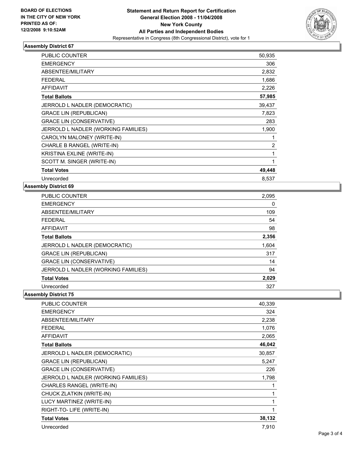

### **Assembly District 67**

| <b>PUBLIC COUNTER</b>               | 50,935 |
|-------------------------------------|--------|
| <b>EMERGENCY</b>                    | 306    |
| ABSENTEE/MILITARY                   | 2,832  |
| <b>FEDERAL</b>                      | 1,686  |
| <b>AFFIDAVIT</b>                    | 2,226  |
| <b>Total Ballots</b>                | 57,985 |
| JERROLD L NADLER (DEMOCRATIC)       | 39,437 |
| <b>GRACE LIN (REPUBLICAN)</b>       | 7,823  |
| <b>GRACE LIN (CONSERVATIVE)</b>     | 283    |
| JERROLD L NADLER (WORKING FAMILIES) | 1,900  |
| CAROLYN MALONEY (WRITE-IN)          |        |
| CHARLE B RANGEL (WRITE-IN)          | 2      |
| KRISTINA EXLINE (WRITE-IN)          |        |
| SCOTT M. SINGER (WRITE-IN)          |        |
| <b>Total Votes</b>                  | 49,448 |
| Unrecorded                          | 8,537  |

#### **Assembly District 69**

| <b>PUBLIC COUNTER</b>               | 2,095 |
|-------------------------------------|-------|
| <b>EMERGENCY</b>                    | 0     |
| ABSENTEE/MILITARY                   | 109   |
| <b>FEDERAL</b>                      | 54    |
| <b>AFFIDAVIT</b>                    | 98    |
| <b>Total Ballots</b>                | 2,356 |
| JERROLD L NADLER (DEMOCRATIC)       | 1,604 |
| <b>GRACE LIN (REPUBLICAN)</b>       | 317   |
| <b>GRACE LIN (CONSERVATIVE)</b>     | 14    |
| JERROLD L NADLER (WORKING FAMILIES) | 94    |
| <b>Total Votes</b>                  | 2,029 |
| Unrecorded                          | 327   |

**Assembly District 75**

| PUBLIC COUNTER                      | 40,339 |
|-------------------------------------|--------|
| <b>EMERGENCY</b>                    | 324    |
| ABSENTEE/MILITARY                   | 2,238  |
| <b>FEDERAL</b>                      | 1,076  |
| <b>AFFIDAVIT</b>                    | 2,065  |
| <b>Total Ballots</b>                | 46,042 |
| JERROLD L NADLER (DEMOCRATIC)       | 30,857 |
| <b>GRACE LIN (REPUBLICAN)</b>       | 5,247  |
| <b>GRACE LIN (CONSERVATIVE)</b>     | 226    |
| JERROLD L NADLER (WORKING FAMILIES) | 1,798  |
| CHARLES RANGEL (WRITE-IN)           |        |
| CHUCK ZLATKIN (WRITE-IN)            |        |
| LUCY MARTINEZ (WRITE-IN)            |        |
| RIGHT-TO- LIFE (WRITE-IN)           |        |
| <b>Total Votes</b>                  | 38,132 |
| Unrecorded                          | 7,910  |